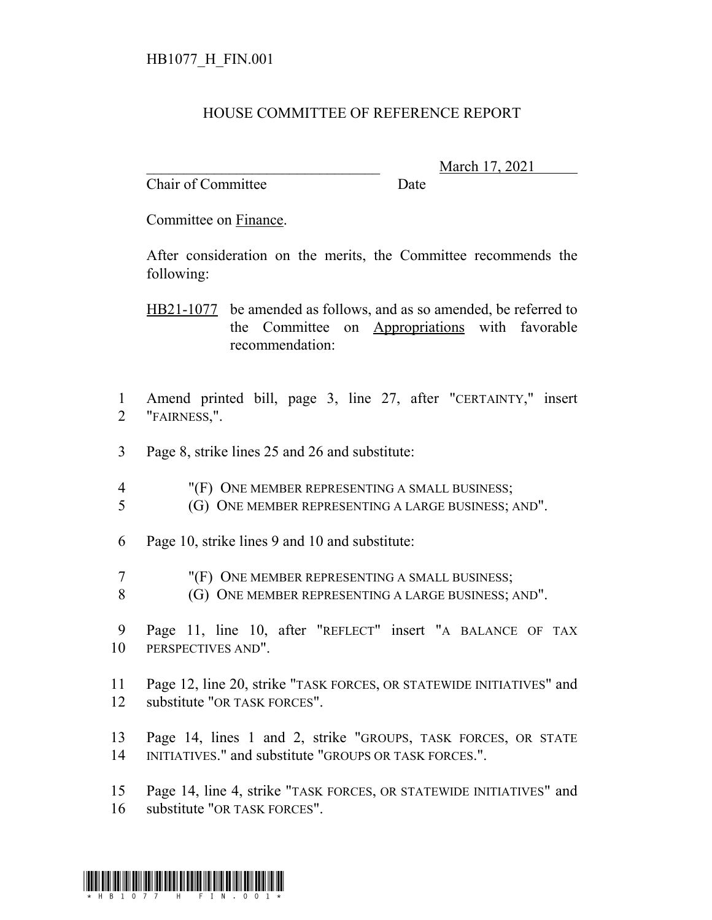## HOUSE COMMITTEE OF REFERENCE REPORT

Chair of Committee Date

\_\_\_\_\_\_\_\_\_\_\_\_\_\_\_\_\_\_\_\_\_\_\_\_\_\_\_\_\_\_\_ March 17, 2021

Committee on Finance.

After consideration on the merits, the Committee recommends the following:

HB21-1077 be amended as follows, and as so amended, be referred to the Committee on Appropriations with favorable recommendation:

- 1 Amend printed bill, page 3, line 27, after "CERTAINTY," insert 2 "FAIRNESS,".
- 3 Page 8, strike lines 25 and 26 and substitute:
- 4 "(F) ONE MEMBER REPRESENTING A SMALL BUSINESS;
- 5 (G) ONE MEMBER REPRESENTING A LARGE BUSINESS; AND".
- 6 Page 10, strike lines 9 and 10 and substitute:
- 7 "(F) ONE MEMBER REPRESENTING A SMALL BUSINESS;
- 8 (G) ONE MEMBER REPRESENTING A LARGE BUSINESS; AND".
- 9 Page 11, line 10, after "REFLECT" insert "A BALANCE OF TAX 10 PERSPECTIVES AND".
- 11 Page 12, line 20, strike "TASK FORCES, OR STATEWIDE INITIATIVES" and 12 substitute "OR TASK FORCES".
- 13 Page 14, lines 1 and 2, strike "GROUPS, TASK FORCES, OR STATE 14 INITIATIVES." and substitute "GROUPS OR TASK FORCES.".
- 15 Page 14, line 4, strike "TASK FORCES, OR STATEWIDE INITIATIVES" and 16 substitute "OR TASK FORCES".